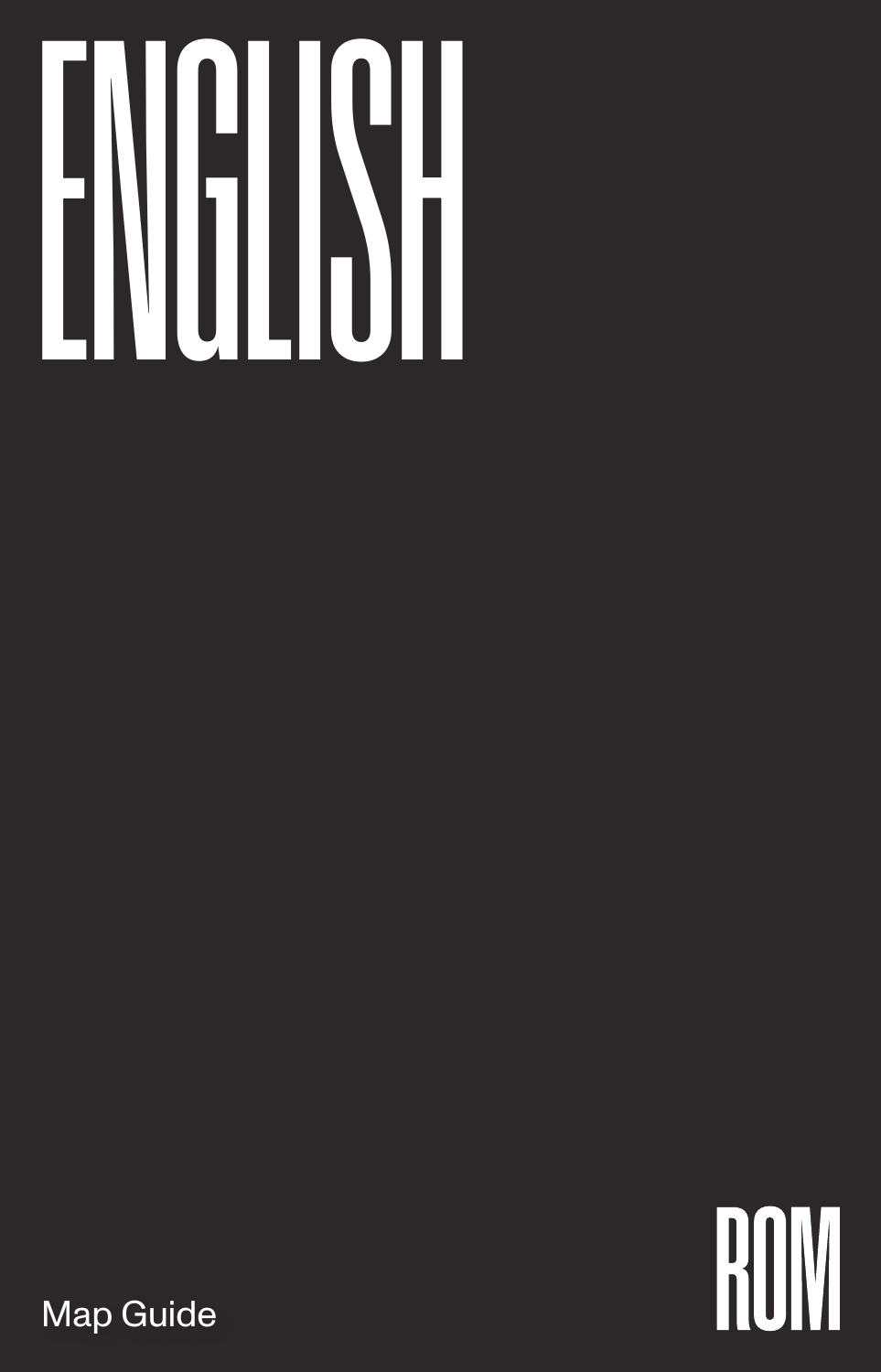## ENGLISH

ROW

Map Guide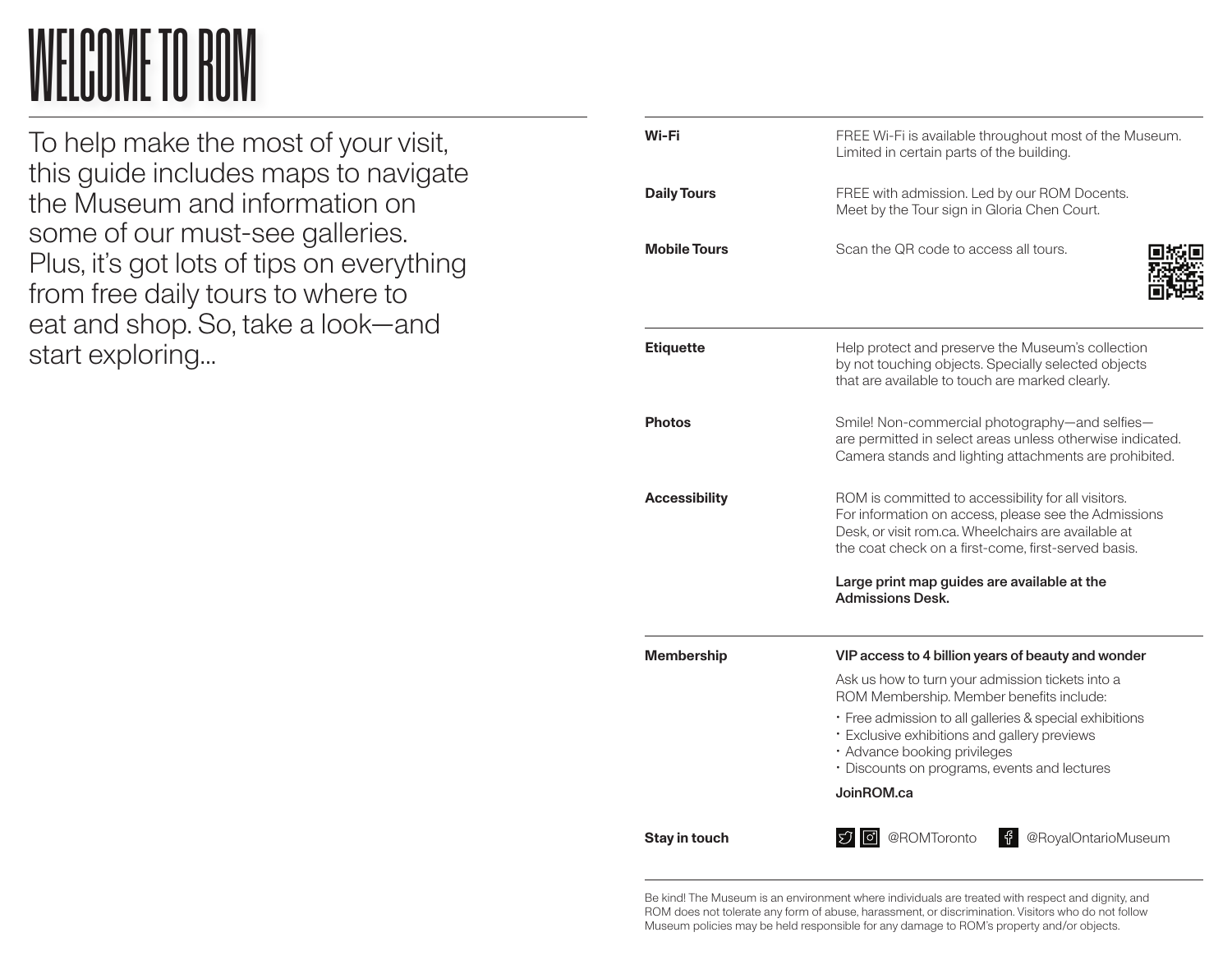## WELCOME TO ROM

To help make the most of your visit, this guide includes maps to navigate the Museum and information on some of our must-see galleries. Plus, it's got lots of tips on everything from free daily tours to where to eat and shop. So, take a look—and start exploring...

| Wi-Fi                | FREE Wi-Fi is available throughout most of the Museum.<br>Limited in certain parts of the building.                                                                                                                       |
|----------------------|---------------------------------------------------------------------------------------------------------------------------------------------------------------------------------------------------------------------------|
| <b>Daily Tours</b>   | FREE with admission. Led by our ROM Docents.<br>Meet by the Tour sign in Gloria Chen Court.                                                                                                                               |
| <b>Mobile Tours</b>  | Scan the QR code to access all tours.                                                                                                                                                                                     |
| <b>Etiquette</b>     | Help protect and preserve the Museum's collection<br>by not touching objects. Specially selected objects<br>that are available to touch are marked clearly.                                                               |
| <b>Photos</b>        | Smile! Non-commercial photography-and selfies-<br>are permitted in select areas unless otherwise indicated.<br>Camera stands and lighting attachments are prohibited.                                                     |
| <b>Accessibility</b> | ROM is committed to accessibility for all visitors.<br>For information on access, please see the Admissions<br>Desk, or visit rom.ca. Wheelchairs are available at<br>the coat check on a first-come, first-served basis. |
|                      | Large print map guides are available at the<br><b>Admissions Desk.</b>                                                                                                                                                    |
| <b>Membership</b>    | VIP access to 4 billion years of beauty and wonder                                                                                                                                                                        |
|                      | Ask us how to turn your admission tickets into a<br>ROM Membership. Member benefits include:                                                                                                                              |
|                      | • Free admission to all galleries & special exhibitions<br>· Exclusive exhibitions and gallery previews<br>· Advance booking privileges<br>· Discounts on programs, events and lectures                                   |
|                      | JoinROM.ca                                                                                                                                                                                                                |
| Stay in touch        | @ROMToronto<br>千<br>@RoyalOntarioMuseum<br>$51$ $\sigma$                                                                                                                                                                  |

Be kind! The Museum is an environment where individuals are treated with respect and dignity, and ROM does not tolerate any form of abuse, harassment, or discrimination. Visitors who do not follow Museum policies may be held responsible for any damage to ROM's property and/or objects.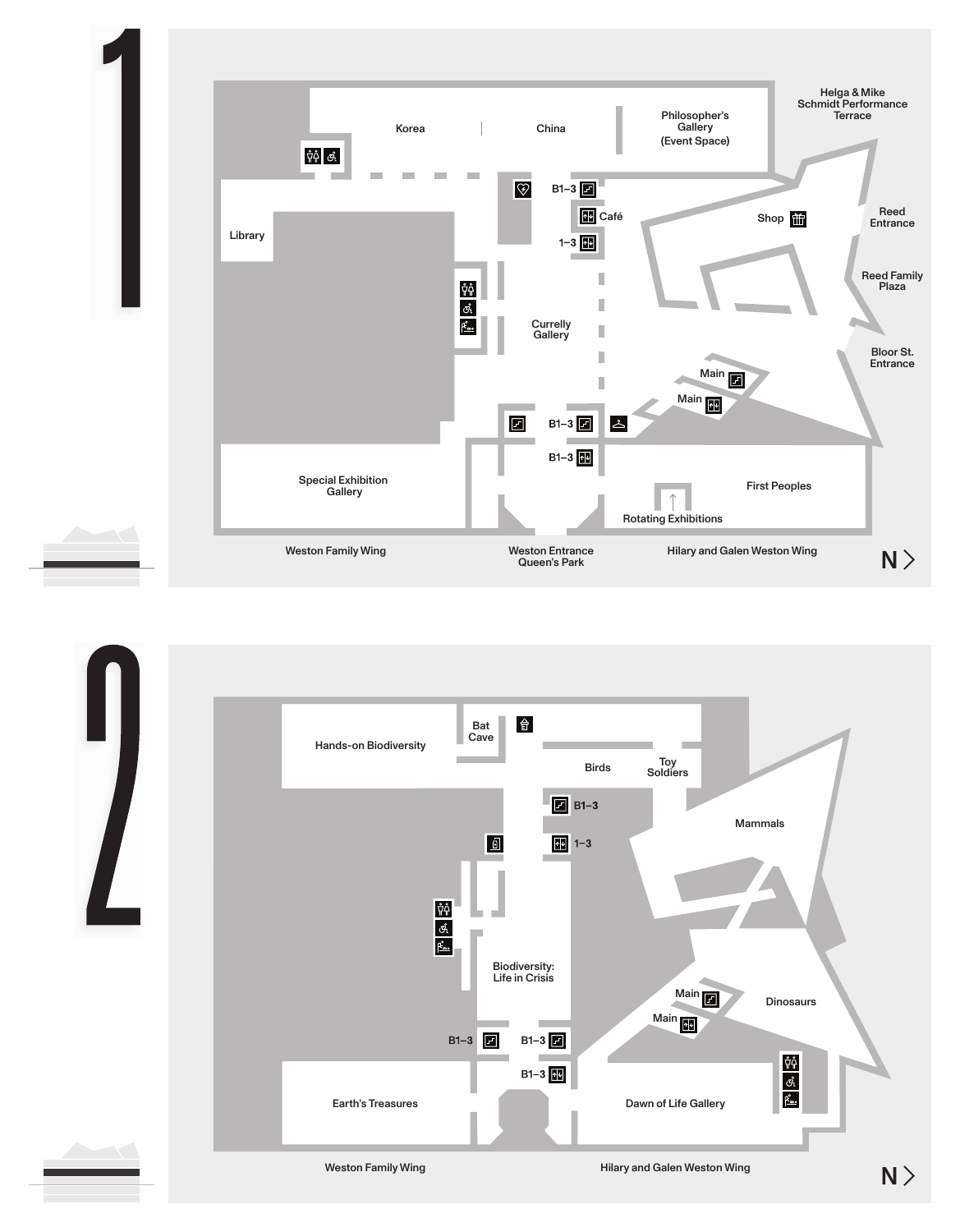

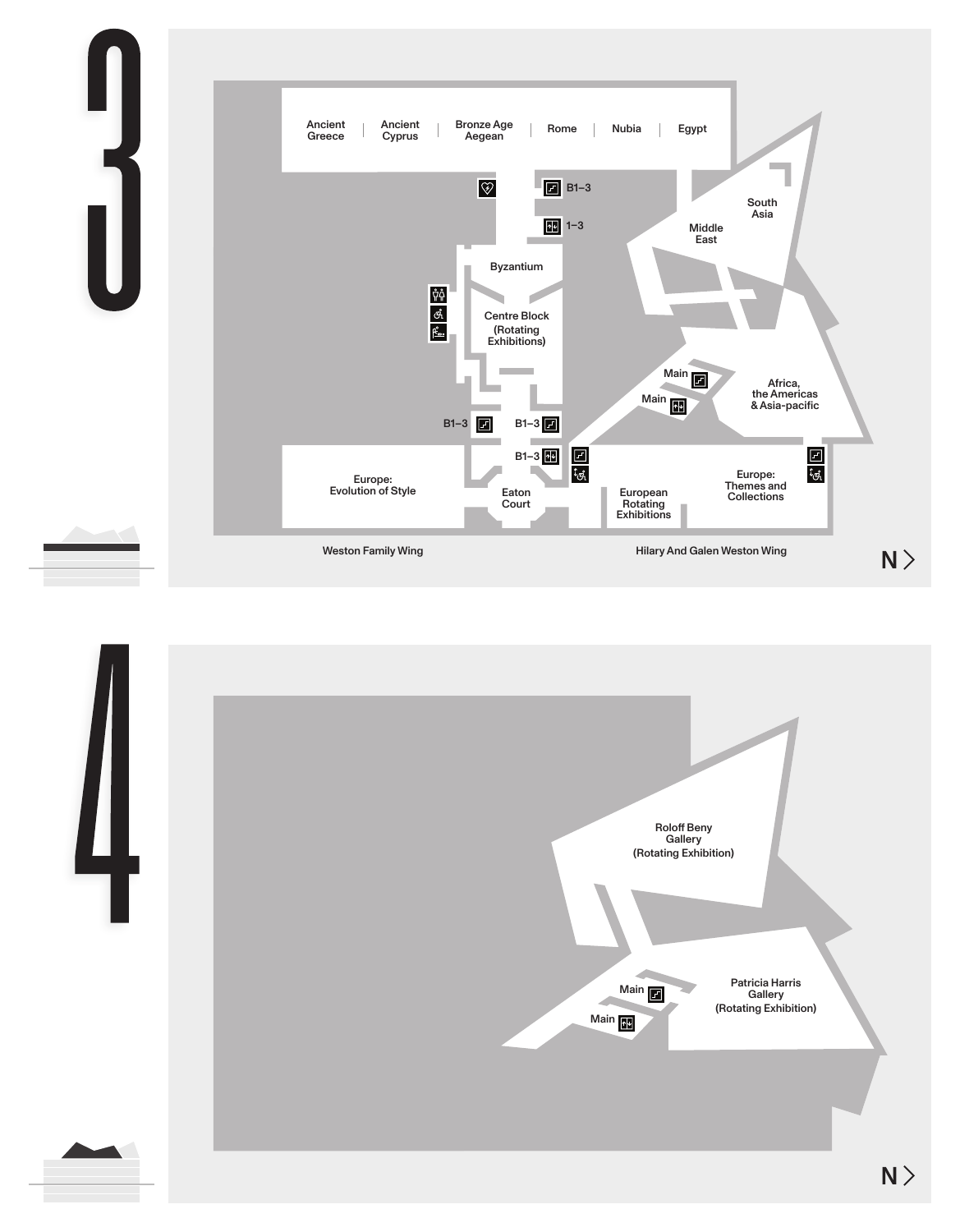



 $N\geq$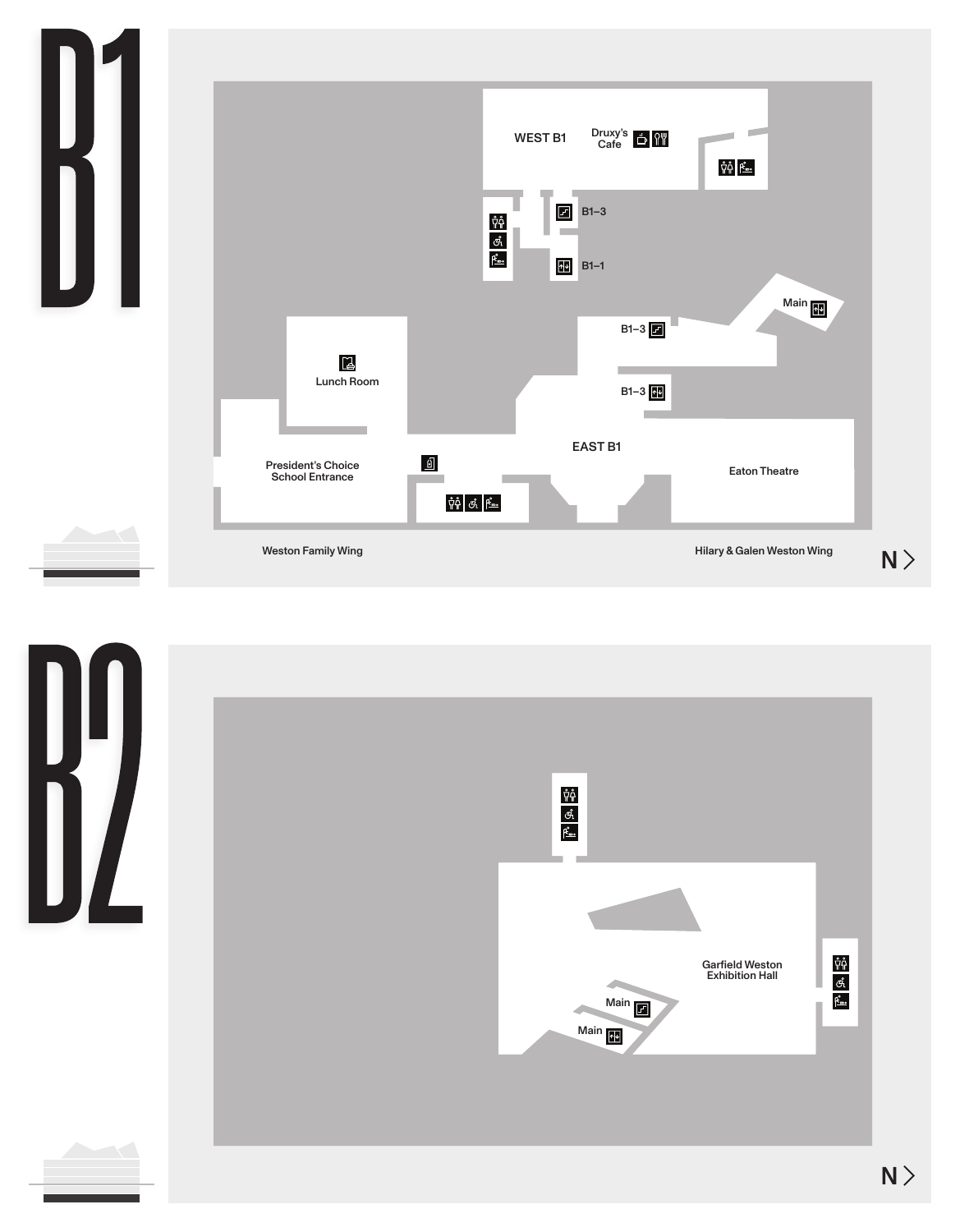